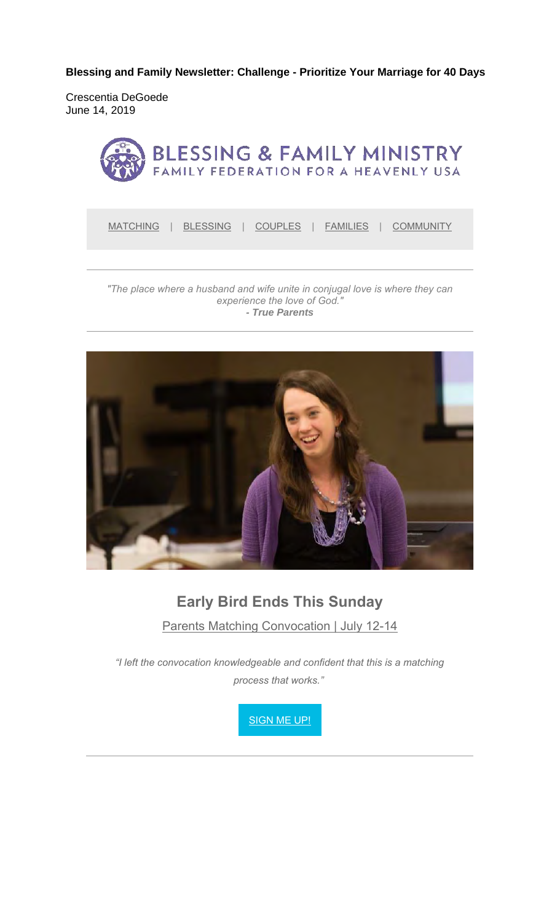**Blessing and Family Newsletter: Challenge - Prioritize Your Marriage for 40 Days** 

Crescentia DeGoede June 14, 2019



MATCHING | BLESSING | COUPLES | FAMILIES | COMMUNITY

#### *"The place where a husband and wife unite in conjugal love is where they can experience the love of God." - True Parents*



### **Early Bird Ends This Sunday**

Parents Matching Convocation | July 12-14

*"I left the convocation knowledgeable and confident that this is a matching process that works."*

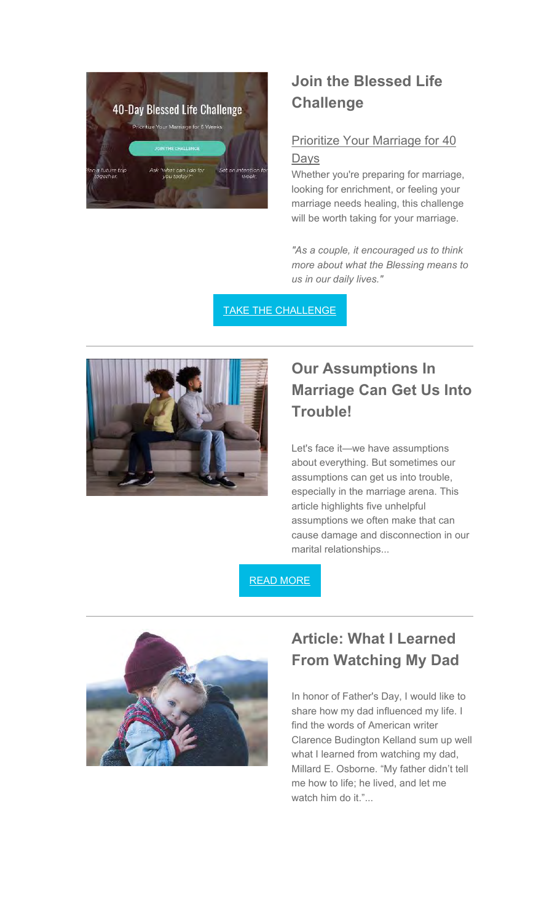

### **Join the Blessed Life Challenge**

### Prioritize Your Marriage for 40 Days

Whether you're preparing for marriage, looking for enrichment, or feeling your marriage needs healing, this challenge will be worth taking for your marriage.

*"As a couple, it encouraged us to think more about what the Blessing means to us in our daily lives."*

TAKE THE CHALLENGE



# **Our Assumptions In Marriage Can Get Us Into Trouble!**

Let's face it—we have assumptions about everything. But sometimes our assumptions can get us into trouble, especially in the marriage arena. This article highlights five unhelpful assumptions we often make that can cause damage and disconnection in our marital relationships...

READ MORE



# **Article: What I Learned From Watching My Dad**

In honor of Father's Day, I would like to share how my dad influenced my life. I find the words of American writer Clarence Budington Kelland sum up well what I learned from watching my dad, Millard E. Osborne. "My father didn't tell me how to life; he lived, and let me watch him do it."...